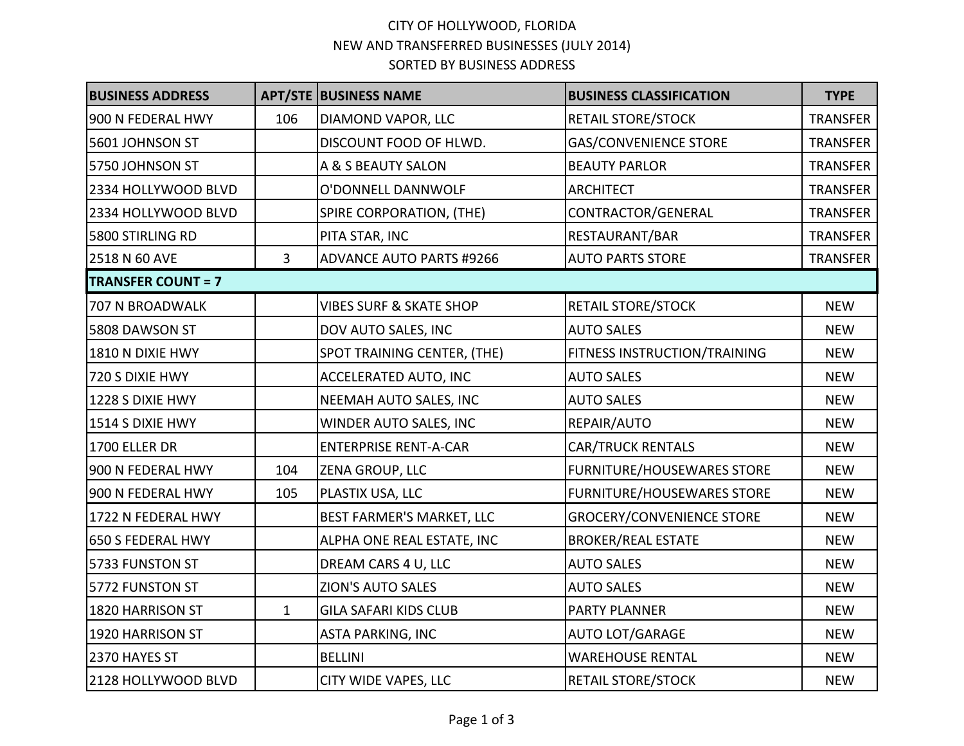## CITY OF HOLLYWOOD, FLORIDA NEW AND TRANSFERRED BUSINESSES (JULY 2014) SORTED BY BUSINESS ADDRESS

| <b>BUSINESS ADDRESS</b>   |                | <b>APT/STE BUSINESS NAME</b>       | <b>BUSINESS CLASSIFICATION</b>    | <b>TYPE</b>     |
|---------------------------|----------------|------------------------------------|-----------------------------------|-----------------|
| 900 N FEDERAL HWY         | 106            | DIAMOND VAPOR, LLC                 | <b>RETAIL STORE/STOCK</b>         | <b>TRANSFER</b> |
| 5601 JOHNSON ST           |                | DISCOUNT FOOD OF HLWD.             | <b>GAS/CONVENIENCE STORE</b>      | <b>TRANSFER</b> |
| 5750 JOHNSON ST           |                | A & S BEAUTY SALON                 | <b>BEAUTY PARLOR</b>              | <b>TRANSFER</b> |
| 2334 HOLLYWOOD BLVD       |                | O'DONNELL DANNWOLF                 | <b>ARCHITECT</b>                  | TRANSFER        |
| 2334 HOLLYWOOD BLVD       |                | SPIRE CORPORATION, (THE)           | CONTRACTOR/GENERAL                | <b>TRANSFER</b> |
| 5800 STIRLING RD          |                | PITA STAR, INC                     | RESTAURANT/BAR                    | TRANSFER        |
| 2518 N 60 AVE             | $\overline{3}$ | <b>ADVANCE AUTO PARTS #9266</b>    | <b>AUTO PARTS STORE</b>           | <b>TRANSFER</b> |
| <b>TRANSFER COUNT = 7</b> |                |                                    |                                   |                 |
| 707 N BROADWALK           |                | <b>VIBES SURF &amp; SKATE SHOP</b> | <b>RETAIL STORE/STOCK</b>         | <b>NEW</b>      |
| 5808 DAWSON ST            |                | DOV AUTO SALES, INC                | <b>AUTO SALES</b>                 | <b>NEW</b>      |
| 1810 N DIXIE HWY          |                | SPOT TRAINING CENTER, (THE)        | FITNESS INSTRUCTION/TRAINING      | <b>NEW</b>      |
| 720 S DIXIE HWY           |                | ACCELERATED AUTO, INC              | <b>AUTO SALES</b>                 | <b>NEW</b>      |
| 1228 S DIXIE HWY          |                | NEEMAH AUTO SALES, INC             | <b>AUTO SALES</b>                 | <b>NEW</b>      |
| 1514 S DIXIE HWY          |                | WINDER AUTO SALES, INC             | REPAIR/AUTO                       | <b>NEW</b>      |
| 1700 ELLER DR             |                | <b>ENTERPRISE RENT-A-CAR</b>       | <b>CAR/TRUCK RENTALS</b>          | <b>NEW</b>      |
| 900 N FEDERAL HWY         | 104            | <b>ZENA GROUP, LLC</b>             | <b>FURNITURE/HOUSEWARES STORE</b> | <b>NEW</b>      |
| 900 N FEDERAL HWY         | 105            | PLASTIX USA, LLC                   | <b>FURNITURE/HOUSEWARES STORE</b> | <b>NEW</b>      |
| 1722 N FEDERAL HWY        |                | <b>BEST FARMER'S MARKET, LLC</b>   | <b>GROCERY/CONVENIENCE STORE</b>  | <b>NEW</b>      |
| 650 S FEDERAL HWY         |                | ALPHA ONE REAL ESTATE, INC         | <b>BROKER/REAL ESTATE</b>         | <b>NEW</b>      |
| 5733 FUNSTON ST           |                | DREAM CARS 4 U, LLC                | <b>AUTO SALES</b>                 | <b>NEW</b>      |
| 5772 FUNSTON ST           |                | <b>ZION'S AUTO SALES</b>           | <b>AUTO SALES</b>                 | <b>NEW</b>      |
| 1820 HARRISON ST          | $\mathbf{1}$   | <b>GILA SAFARI KIDS CLUB</b>       | <b>PARTY PLANNER</b>              | <b>NEW</b>      |
| 1920 HARRISON ST          |                | <b>ASTA PARKING, INC</b>           | <b>AUTO LOT/GARAGE</b>            | <b>NEW</b>      |
| 2370 HAYES ST             |                | <b>BELLINI</b>                     | <b>WAREHOUSE RENTAL</b>           | <b>NEW</b>      |
| 2128 HOLLYWOOD BLVD       |                | <b>CITY WIDE VAPES, LLC</b>        | <b>RETAIL STORE/STOCK</b>         | <b>NEW</b>      |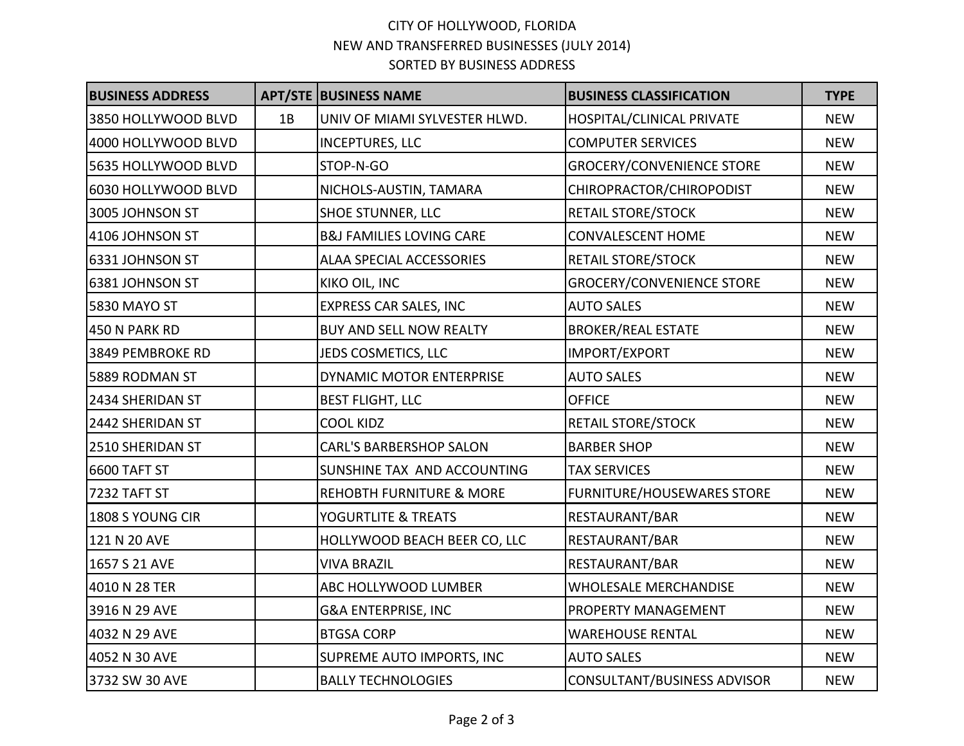## CITY OF HOLLYWOOD, FLORIDA NEW AND TRANSFERRED BUSINESSES (JULY 2014) SORTED BY BUSINESS ADDRESS

| <b>BUSINESS ADDRESS</b> |    | <b>APT/STE BUSINESS NAME</b>        | <b>BUSINESS CLASSIFICATION</b>    | <b>TYPE</b> |
|-------------------------|----|-------------------------------------|-----------------------------------|-------------|
| 3850 HOLLYWOOD BLVD     | 1B | UNIV OF MIAMI SYLVESTER HLWD.       | HOSPITAL/CLINICAL PRIVATE         | <b>NEW</b>  |
| 4000 HOLLYWOOD BLVD     |    | <b>INCEPTURES, LLC</b>              | <b>COMPUTER SERVICES</b>          | <b>NEW</b>  |
| 5635 HOLLYWOOD BLVD     |    | STOP-N-GO                           | <b>GROCERY/CONVENIENCE STORE</b>  | <b>NEW</b>  |
| 6030 HOLLYWOOD BLVD     |    | NICHOLS-AUSTIN, TAMARA              | CHIROPRACTOR/CHIROPODIST          | <b>NEW</b>  |
| 3005 JOHNSON ST         |    | <b>SHOE STUNNER, LLC</b>            | <b>RETAIL STORE/STOCK</b>         | <b>NEW</b>  |
| 4106 JOHNSON ST         |    | <b>B&amp;J FAMILIES LOVING CARE</b> | <b>CONVALESCENT HOME</b>          | <b>NEW</b>  |
| 6331 JOHNSON ST         |    | ALAA SPECIAL ACCESSORIES            | <b>RETAIL STORE/STOCK</b>         | <b>NEW</b>  |
| 6381 JOHNSON ST         |    | KIKO OIL, INC                       | <b>GROCERY/CONVENIENCE STORE</b>  | <b>NEW</b>  |
| 5830 MAYO ST            |    | <b>EXPRESS CAR SALES, INC</b>       | <b>AUTO SALES</b>                 | <b>NEW</b>  |
| 450 N PARK RD           |    | <b>BUY AND SELL NOW REALTY</b>      | <b>BROKER/REAL ESTATE</b>         | <b>NEW</b>  |
| 3849 PEMBROKE RD        |    | JEDS COSMETICS, LLC                 | IMPORT/EXPORT                     | <b>NEW</b>  |
| 5889 RODMAN ST          |    | DYNAMIC MOTOR ENTERPRISE            | <b>AUTO SALES</b>                 | <b>NEW</b>  |
| 2434 SHERIDAN ST        |    | <b>BEST FLIGHT, LLC</b>             | <b>OFFICE</b>                     | <b>NEW</b>  |
| 2442 SHERIDAN ST        |    | <b>COOL KIDZ</b>                    | <b>RETAIL STORE/STOCK</b>         | <b>NEW</b>  |
| 2510 SHERIDAN ST        |    | <b>CARL'S BARBERSHOP SALON</b>      | <b>BARBER SHOP</b>                | <b>NEW</b>  |
| 6600 TAFT ST            |    | SUNSHINE TAX AND ACCOUNTING         | <b>TAX SERVICES</b>               | <b>NEW</b>  |
| 7232 TAFT ST            |    | <b>REHOBTH FURNITURE &amp; MORE</b> | <b>FURNITURE/HOUSEWARES STORE</b> | <b>NEW</b>  |
| 1808 S YOUNG CIR        |    | YOGURTLITE & TREATS                 | RESTAURANT/BAR                    | <b>NEW</b>  |
| 121 N 20 AVE            |    | HOLLYWOOD BEACH BEER CO, LLC        | RESTAURANT/BAR                    | <b>NEW</b>  |
| 1657 S 21 AVE           |    | <b>VIVA BRAZIL</b>                  | RESTAURANT/BAR                    | <b>NEW</b>  |
| 4010 N 28 TER           |    | ABC HOLLYWOOD LUMBER                | <b>WHOLESALE MERCHANDISE</b>      | <b>NEW</b>  |
| 3916 N 29 AVE           |    | <b>G&amp;A ENTERPRISE, INC</b>      | <b>PROPERTY MANAGEMENT</b>        | <b>NEW</b>  |
| 4032 N 29 AVE           |    | <b>BTGSA CORP</b>                   | <b>WAREHOUSE RENTAL</b>           | <b>NEW</b>  |
| 4052 N 30 AVE           |    | SUPREME AUTO IMPORTS, INC           | <b>AUTO SALES</b>                 | <b>NEW</b>  |
| 3732 SW 30 AVE          |    | <b>BALLY TECHNOLOGIES</b>           | CONSULTANT/BUSINESS ADVISOR       | <b>NEW</b>  |